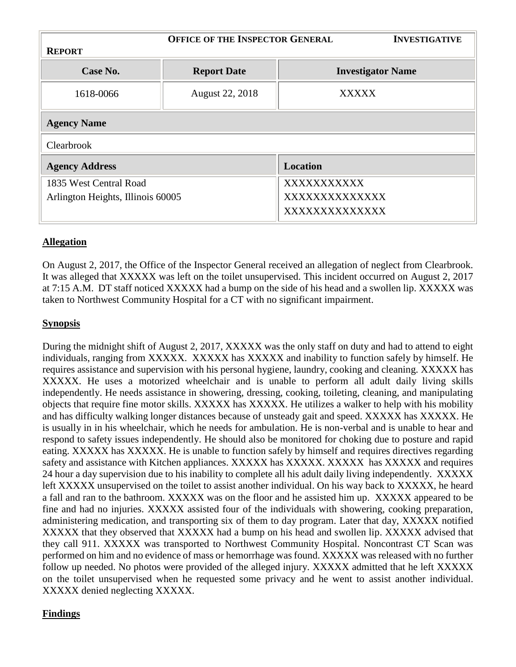|                                   | <b>OFFICE OF THE INSPECTOR GENERAL</b> |                          | <b>INVESTIGATIVE</b> |
|-----------------------------------|----------------------------------------|--------------------------|----------------------|
| <b>REPORT</b>                     |                                        |                          |                      |
| Case No.                          | <b>Report Date</b>                     | <b>Investigator Name</b> |                      |
| 1618-0066                         | August 22, 2018                        | <b>XXXXX</b>             |                      |
| <b>Agency Name</b>                |                                        |                          |                      |
| Clearbrook                        |                                        |                          |                      |
| <b>Agency Address</b>             |                                        | <b>Location</b>          |                      |
| 1835 West Central Road            |                                        | XXXXXXXXXXX              |                      |
| Arlington Heights, Illinois 60005 |                                        | XXXXXXXXXXXXX            |                      |
|                                   |                                        | XXXXXXXXXXXXX            |                      |

## **Allegation**

On August 2, 2017, the Office of the Inspector General received an allegation of neglect from Clearbrook. It was alleged that XXXXX was left on the toilet unsupervised. This incident occurred on August 2, 2017 at 7:15 A.M. DT staff noticed XXXXX had a bump on the side of his head and a swollen lip. XXXXX was taken to Northwest Community Hospital for a CT with no significant impairment.

## **Synopsis**

During the midnight shift of August 2, 2017, XXXXX was the only staff on duty and had to attend to eight individuals, ranging from XXXXX. XXXXX has XXXXX and inability to function safely by himself. He requires assistance and supervision with his personal hygiene, laundry, cooking and cleaning. XXXXX has XXXXX. He uses a motorized wheelchair and is unable to perform all adult daily living skills independently. He needs assistance in showering, dressing, cooking, toileting, cleaning, and manipulating objects that require fine motor skills. XXXXX has XXXXX. He utilizes a walker to help with his mobility and has difficulty walking longer distances because of unsteady gait and speed. XXXXX has XXXXX. He is usually in in his wheelchair, which he needs for ambulation. He is non-verbal and is unable to hear and respond to safety issues independently. He should also be monitored for choking due to posture and rapid eating. XXXXX has XXXXX. He is unable to function safely by himself and requires directives regarding safety and assistance with Kitchen appliances. XXXXX has XXXXX. XXXXX has XXXXX and requires 24 hour a day supervision due to his inability to complete all his adult daily living independently. XXXXX left XXXXX unsupervised on the toilet to assist another individual. On his way back to XXXXX, he heard a fall and ran to the bathroom. XXXXX was on the floor and he assisted him up. XXXXX appeared to be fine and had no injuries. XXXXX assisted four of the individuals with showering, cooking preparation, administering medication, and transporting six of them to day program. Later that day, XXXXX notified XXXXX that they observed that XXXXX had a bump on his head and swollen lip. XXXXX advised that they call 911. XXXXX was transported to Northwest Community Hospital. Noncontrast CT Scan was performed on him and no evidence of mass or hemorrhage was found. XXXXX was released with no further follow up needed. No photos were provided of the alleged injury. XXXXX admitted that he left XXXXX on the toilet unsupervised when he requested some privacy and he went to assist another individual. XXXXX denied neglecting XXXXX.

## **Findings**